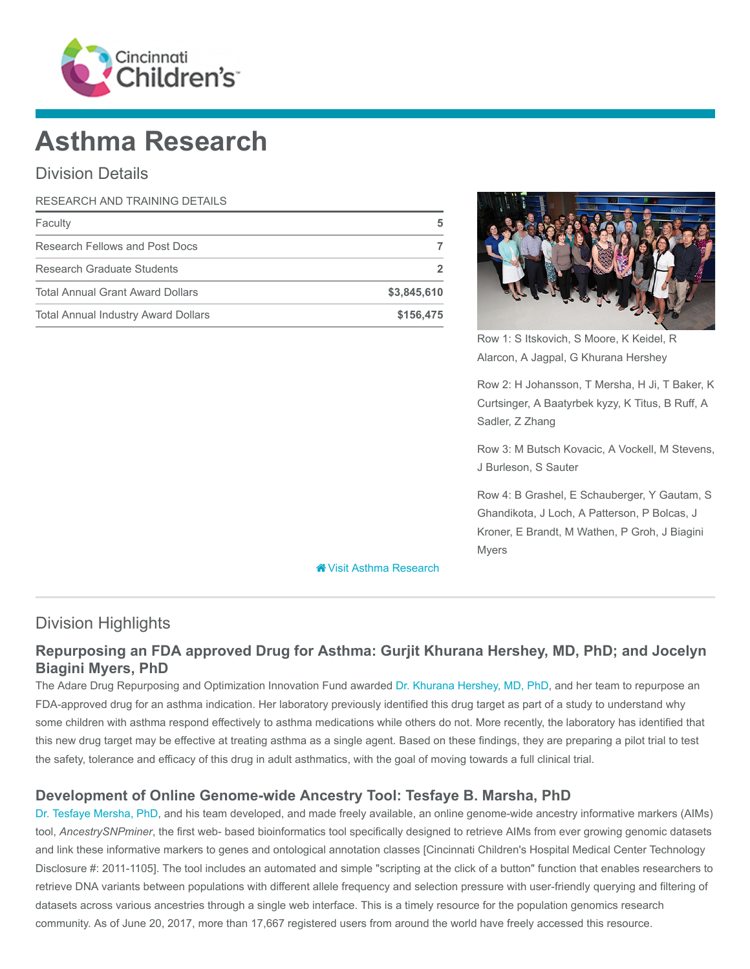

# Asthma Research

# Division Details

| RESEARCH AND TRAINING DETAILS              |             |  |
|--------------------------------------------|-------------|--|
| Faculty                                    |             |  |
| Research Fellows and Post Docs             |             |  |
| Research Graduate Students                 |             |  |
| <b>Total Annual Grant Award Dollars</b>    | \$3,845,610 |  |
| <b>Total Annual Industry Award Dollars</b> | \$156,475   |  |



Row 1: S Itskovich, S Moore, K Keidel, R Alarcon, A Jagpal, G Khurana Hershey

Row 2: H Johansson, T Mersha, H Ji, T Baker, K Curtsinger, A Baatyrbek kyzy, K Titus, B Ruff, A Sadler, Z Zhang

Row 3: M Butsch Kovacic, A Vockell, M Stevens, J Burleson, S Sauter

Row 4: B Grashel, E Schauberger, Y Gautam, S Ghandikota, J Loch, A Patterson, P Bolcas, J Kroner, E Brandt, M Wathen, P Groh, J Biagini Myers

**X** [Visit Asthma Research](https://www.cincinnatichildrens.org/research/divisions/a/asthma)

# Division Highlights

### Repurposing an FDA approved Drug for Asthma: Gurjit Khurana Hershey, MD, PhD; and Jocelyn Biagini Myers, PhD

The Adare Drug Repurposing and Optimization Innovation Fund awarded [Dr. Khurana Hershey, MD, PhD](https://www.cincinnatichildrens.org/bio/h/gurjit-khurana-hershey), and her team to repurpose an FDA-approved drug for an asthma indication. Her laboratory previously identified this drug target as part of a study to understand why some children with asthma respond effectively to asthma medications while others do not. More recently, the laboratory has identified that this new drug target may be effective at treating asthma as a single agent. Based on these findings, they are preparing a pilot trial to test the safety, tolerance and efficacy of this drug in adult asthmatics, with the goal of moving towards a full clinical trial.

#### Development of Online Genome-wide Ancestry Tool: Tesfaye B. Marsha, PhD

[Dr. Tesfaye Mersha, PhD](https://www.cincinnatichildrens.org/bio/m/tesfaye-mersha), and his team developed, and made freely available, an online genome-wide ancestry informative markers (AIMs) tool, AncestrySNPminer, the first web- based bioinformatics tool specifically designed to retrieve AIMs from ever growing genomic datasets and link these informative markers to genes and ontological annotation classes [Cincinnati Children's Hospital Medical Center Technology Disclosure #: 2011-1105]. The tool includes an automated and simple "scripting at the click of a button" function that enables researchers to retrieve DNA variants between populations with different allele frequency and selection pressure with user-friendly querying and filtering of datasets across various ancestries through a single web interface. This is a timely resource for the population genomics research community. As of June 20, 2017, more than 17,667 registered users from around the world have freely accessed this resource.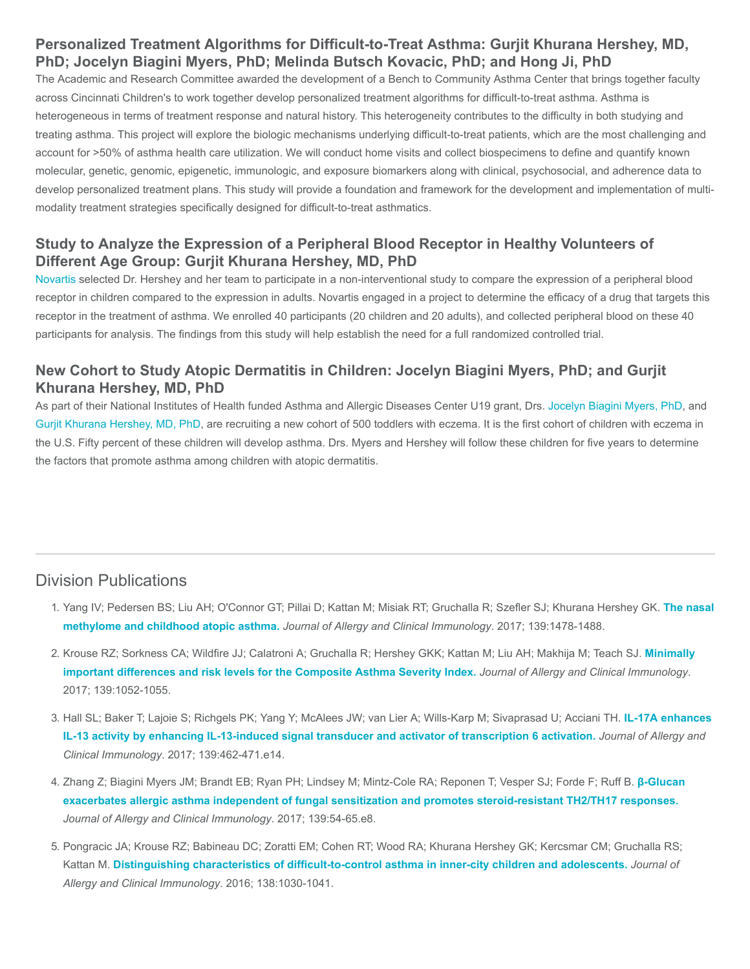# Personalized Treatment Algorithms for Difficult-to-Treat Asthma: Gurjit Khurana Hershey, MD, PhD; Jocelyn Biagini Myers, PhD; Melinda Butsch Kovacic, PhD; and Hong Ji, PhD

The Academic and Research Committee awarded the development of a Bench to Community Asthma Center that brings together faculty across Cincinnati Children's to work together develop personalized treatment algorithms for difficult-to-treat asthma. Asthma is heterogeneous in terms of treatment response and natural history. This heterogeneity contributes to the difficulty in both studying and treating asthma. This project will explore the biologic mechanisms underlying difficult-to-treat patients, which are the most challenging and account for >50% of asthma health care utilization. We will conduct home visits and collect biospecimens to define and quantify known molecular, genetic, genomic, epigenetic, immunologic, and exposure biomarkers along with clinical, psychosocial, and adherence data to develop personalized treatment plans. This study will provide a foundation and framework for the development and implementation of multimodality treatment strategies specifically designed for difficult-to-treat asthmatics.

#### Study to Analyze the Expression of a Peripheral Blood Receptor in Healthy Volunteers of Different Age Group: Gurjit Khurana Hershey, MD, PhD

[Novartis](https://www.novartis.com/) selected Dr. Hershey and her team to participate in a non-interventional study to compare the expression of a peripheral blood receptor in children compared to the expression in adults. Novartis engaged in a project to determine the efficacy of a drug that targets this receptor in the treatment of asthma. We enrolled 40 participants (20 children and 20 adults), and collected peripheral blood on these 40 participants for analysis. The findings from this study will help establish the need for a full randomized controlled trial.

#### New Cohort to Study Atopic Dermatitis in Children: Jocelyn Biagini Myers, PhD; and Gurjit Khurana Hershey, MD, PhD

As part of their National Institutes of Health funded Asthma and Allergic Diseases Center U19 grant, Drs. [Jocelyn Biagini Myers, PhD](https://www.cincinnatichildrens.org/bio/b/jocelyn-biagini-myers), and [Gurjit Khurana Hershey, MD, PhD,](https://www.cincinnatichildrens.org/bio/h/gurjit-khurana-hershey) are recruiting a new cohort of 500 toddlers with eczema. It is the first cohort of children with eczema in the U.S. Fifty percent of these children will develop asthma. Drs. Myers and Hershey will follow these children for five years to determine the factors that promote asthma among children with atopic dermatitis.

# Division Publications

- 1. [Yang IV; Pedersen BS; Liu AH; O'Connor GT; Pillai D; Kattan M; Misiak RT; Gruchalla R; Szefler SJ; Khurana Hershey GK.](https://www.ncbi.nlm.nih.gov/pubmed/27745942) The nasal methylome and childhood atopic asthma. Journal of Allergy and Clinical Immunology. 2017; 139:1478-1488.
- 2. [Krouse RZ; Sorkness CA; Wildfire JJ; Calatroni A; Gruchalla R; Hershey GKK; Kattan M; Liu AH; Makhija M; Teach SJ.](https://www.ncbi.nlm.nih.gov/pubmed/27744028) Minimally important differences and risk levels for the Composite Asthma Severity Index. Journal of Allergy and Clinical Immunology. 2017; 139:1052-1055.
- 3. [Hall SL; Baker T; Lajoie S; Richgels PK; Yang Y; McAlees JW; van Lier A; Wills-Karp M; Sivaprasad U; Acciani TH.](https://www.ncbi.nlm.nih.gov/pubmed/27417023) IL-17A enhances IL-13 activity by enhancing IL-13-induced signal transducer and activator of transcription 6 activation. Journal of Allergy and Clinical Immunology. 2017; 139:462-471.e14.
- 4. [Zhang Z; Biagini Myers JM; Brandt EB; Ryan PH; Lindsey M; Mintz-Cole RA; Reponen T; Vesper SJ; Forde F; Ruff B.](https://www.ncbi.nlm.nih.gov/pubmed/27221135) β-Glucan exacerbates allergic asthma independent of fungal sensitization and promotes steroid-resistant TH2/TH17 responses. Journal of Allergy and Clinical Immunology. 2017; 139:54-65.e8.
- 5. Pongracic JA; Krouse RZ; Babineau DC; Zoratti EM; Cohen RT; Wood RA; Khurana Hershey GK; Kercsmar CM; Gruchalla RS; Kattan M. [Distinguishing characteristics of difficult-to-control asthma in inner-city children and adolescents.](https://www.ncbi.nlm.nih.gov/pubmed/27720017) Journal of Allergy and Clinical Immunology. 2016; 138:1030-1041.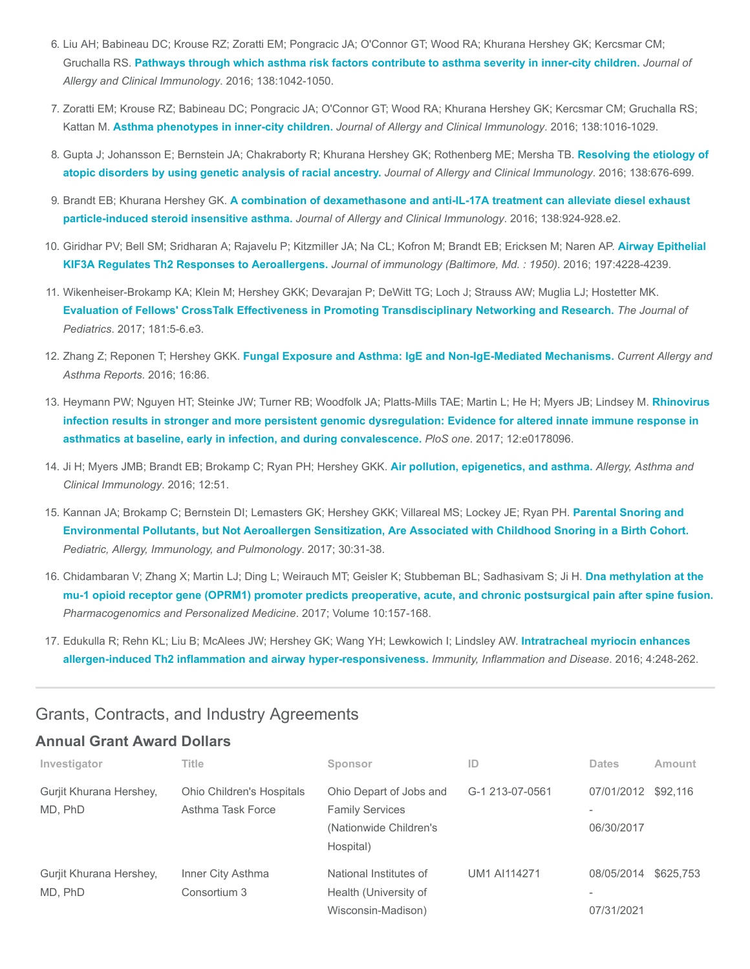- 6. Liu AH; Babineau DC; Krouse RZ; Zoratti EM; Pongracic JA; O'Connor GT; Wood RA; Khurana Hershey GK; Kercsmar CM; Gruchalla RS. [Pathways through which asthma risk factors contribute to asthma severity in inner-city children.](https://www.ncbi.nlm.nih.gov/pubmed/27720018) Journal of Allergy and Clinical Immunology. 2016; 138:1042-1050.
- 7. Zoratti EM; Krouse RZ; Babineau DC; Pongracic JA; O'Connor GT; Wood RA; Khurana Hershey GK; Kercsmar CM; Gruchalla RS; Kattan M. [Asthma phenotypes in inner-city children.](https://www.ncbi.nlm.nih.gov/pubmed/27720016) Journal of Allergy and Clinical Immunology. 2016; 138:1016-1029.
- 8. [Gupta J; Johansson E; Bernstein JA; Chakraborty R; Khurana Hershey GK; Rothenberg ME; Mersha TB.](https://www.ncbi.nlm.nih.gov/pubmed/27297995) Resolving the etiology of atopic disorders by using genetic analysis of racial ancestry. Journal of Allergy and Clinical Immunology. 2016; 138:676-699.
- 9. Brandt EB; Khurana Hershey GK. [A combination of dexamethasone and anti-IL-17A treatment can alleviate diesel exhaust](https://www.ncbi.nlm.nih.gov/pubmed/27264458) particle-induced steroid insensitive asthma. Journal of Allergy and Clinical Immunology. 2016; 138:924-928.e2.
- 10. [Giridhar PV; Bell SM; Sridharan A; Rajavelu P; Kitzmiller JA; Na CL; Kofron M; Brandt EB; Ericksen M; Naren AP.](https://www.ncbi.nlm.nih.gov/pubmed/27794000) Airway Epithelial KIF3A Regulates Th2 Responses to Aeroallergens. Journal of immunology (Baltimore, Md. : 1950). 2016; 197:4228-4239.
- 11. Wikenheiser-Brokamp KA; Klein M; Hershey GKK; Devarajan P; DeWitt TG; Loch J; Strauss AW; Muglia LJ; Hostetter MK. [Evaluation of Fellows' CrossTalk Effectiveness in Promoting Transdisciplinary Networking and Research.](https://www.ncbi.nlm.nih.gov/pubmed/27839701) The Journal of Pediatrics. 2017; 181:5-6.e3.
- 12. Zhang Z; Reponen T; Hershey GKK. [Fungal Exposure and Asthma: IgE and Non-IgE-Mediated Mechanisms.](https://www.ncbi.nlm.nih.gov/pubmed/27943046) Current Allergy and Asthma Reports. 2016; 16:86.
- 13. [Heymann PW; Nguyen HT; Steinke JW; Turner RB; Woodfolk JA; Platts-Mills TAE; Martin L; He H; Myers JB; Lindsey M.](https://www.ncbi.nlm.nih.gov/pubmed/28552993) Rhinovirus infection results in stronger and more persistent genomic dysregulation: Evidence for altered innate immune response in asthmatics at baseline, early in infection, and during convalescence. PloS one. 2017; 12:e0178096.
- 14. Ji H; Myers JMB; Brandt EB; Brokamp C; Ryan PH; Hershey GKK. [Air pollution, epigenetics, and asthma.](https://www.ncbi.nlm.nih.gov/pubmed/27777592) Allergy, Asthma and Clinical Immunology. 2016; 12:51.
- 15. Kannan JA; Brokamp C; Bernstein DI; Lemasters GK; Hershey GKK; Villareal MS; Lockey JE; Ryan PH. Parental Snoring and [Environmental Pollutants, but Not Aeroallergen Sensitization, Are Associated with Childhood Snoring in a Birth Cohort.](https://www.ncbi.nlm.nih.gov/pubmed/28465864) Pediatric, Allergy, Immunology, and Pulmonology. 2017; 30:31-38.
- 16. Chidambaran V; Zhang X; Martin LJ; Ding L; Weirauch MT; Geisler K; Stubbeman BL; Sadhasivam S; Ji H. Dna methylation at the [mu-1 opioid receptor gene \(OPRM1\) promoter predicts preoperative, acute, and chronic postsurgical pain after spine fusion.](https://www.ncbi.nlm.nih.gov/pubmed/28533693) Pharmacogenomics and Personalized Medicine. 2017; Volume 10:157-168.
- 17. [Edukulla R; Rehn KL; Liu B; McAlees JW; Hershey GK; Wang YH; Lewkowich I; Lindsley AW.](https://www.ncbi.nlm.nih.gov/pubmed/27621809) Intratracheal myriocin enhances allergen-induced Th2 inflammation and airway hyper-responsiveness. Immunity, Inflammation and Disease. 2016; 4:248-262.

#### Grants, Contracts, and Industry Agreements

#### Annual Grant Award Dollars

| Investigator                       | Title                                                 | Sponsor                                                                                  | ID                  | <b>Dates</b>                                         | Amount    |
|------------------------------------|-------------------------------------------------------|------------------------------------------------------------------------------------------|---------------------|------------------------------------------------------|-----------|
| Gurjit Khurana Hershey,<br>MD, PhD | <b>Ohio Children's Hospitals</b><br>Asthma Task Force | Ohio Depart of Jobs and<br><b>Family Services</b><br>(Nationwide Children's<br>Hospital) | G-1 213-07-0561     | 07/01/2012 \$92,116<br>06/30/2017                    |           |
| Gurjit Khurana Hershey,<br>MD, PhD | Inner City Asthma<br>Consortium 3                     | National Institutes of<br>Health (University of<br>Wisconsin-Madison)                    | <b>UM1 AI114271</b> | 08/05/2014<br>$\overline{\phantom{a}}$<br>07/31/2021 | \$625,753 |